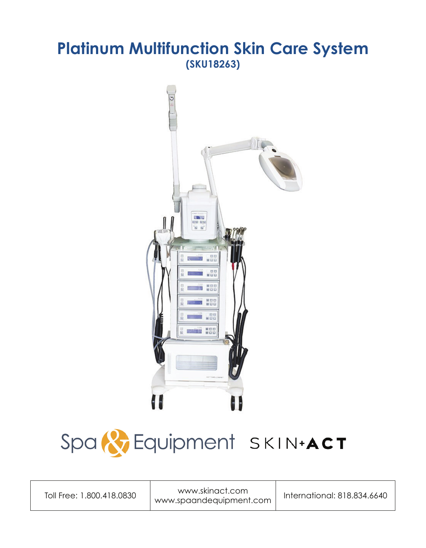### **Platinum Multifunction Skin Care System (SKU18263)**



# Spa & Equipment SKIN.ACT

Toll Free: 1.800.418.0830 www.skinact.com www.skinder.com | International: 818.834.6640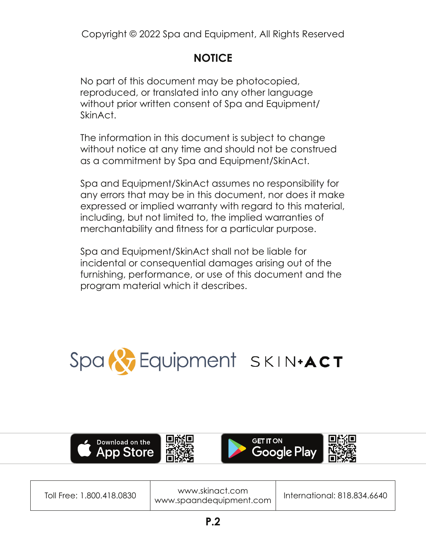Copyright © 2022 Spa and Equipment, All Rights Reserved

### **NOTICE**

No part of this document may be photocopied, reproduced, or translated into any other language without prior written consent of Spa and Equipment/ SkinAct.

The information in this document is subject to change without notice at any time and should not be construed as a commitment by Spa and Equipment/SkinAct.

Spa and Equipment/SkinAct assumes no responsibility for any errors that may be in this document, nor does it make expressed or implied warranty with regard to this material, including, but not limited to, the implied warranties of merchantability and fitness for a particular purpose.

Spa and Equipment/SkinAct shall not be liable for incidental or consequential damages arising out of the furnishing, performance, or use of this document and the program material which it describes.





| Toll Free: 1.800.418.0830 |  |
|---------------------------|--|
|---------------------------|--|

www.skinact.com www.skinder.com | International: 818.834.6640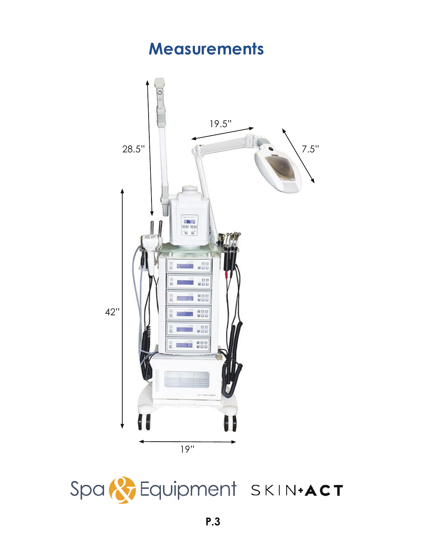### **Measurements**



Spa & Equipment SKIN+ACT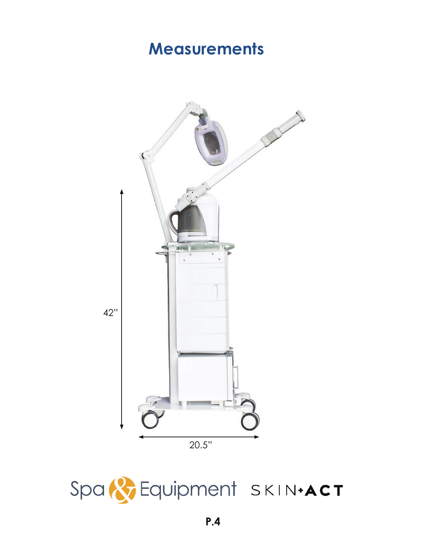## **Measurements**



Spa & Equipment SKIN+ACT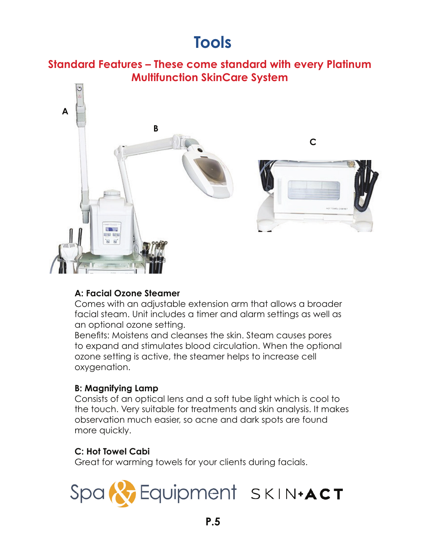### **Tools**

### **Standard Features – These come standard with every Platinum Multifunction SkinCare System**



### **A: Facial Ozone Steamer**

Comes with an adjustable extension arm that allows a broader facial steam. Unit includes a timer and alarm settings as well as an optional ozone setting.

Benefits: Moistens and cleanses the skin. Steam causes pores to expand and stimulates blood circulation. When the optional ozone setting is active, the steamer helps to increase cell oxygenation.

### **B: Magnifying Lamp**

Consists of an optical lens and a soft tube light which is cool to the touch. Very suitable for treatments and skin analysis. It makes observation much easier, so acne and dark spots are found more quickly.

### **C: Hot Towel Cabi**

Great for warming towels for your clients during facials.

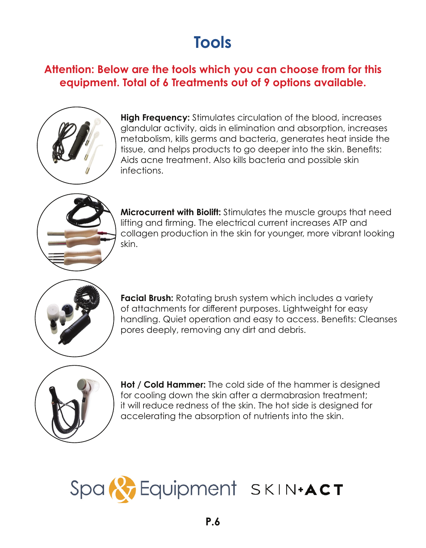# **Tools**

### **Attention: Below are the tools which you can choose from for this equipment. Total of 6 Treatments out of 9 options available.**



**High Frequency:** Stimulates circulation of the blood, increases glandular activity, aids in elimination and absorption, increases metabolism, kills germs and bacteria, generates heat inside the tissue, and helps products to go deeper into the skin. Benefits: Aids acne treatment. Also kills bacteria and possible skin infections.



**Microcurrent with Biolift:** Stimulates the muscle groups that need lifting and firming. The electrical current increases ATP and collagen production in the skin for younger, more vibrant looking skin.



**Facial Brush:** Rotating brush system which includes a variety of attachments for different purposes. Lightweight for easy handling. Quiet operation and easy to access. Benefits: Cleanses pores deeply, removing any dirt and debris.



**Hot / Cold Hammer:** The cold side of the hammer is designed for cooling down the skin after a dermabrasion treatment; it will reduce redness of the skin. The hot side is designed for accelerating the absorption of nutrients into the skin.

# Spa & Equipment SKIN+ACT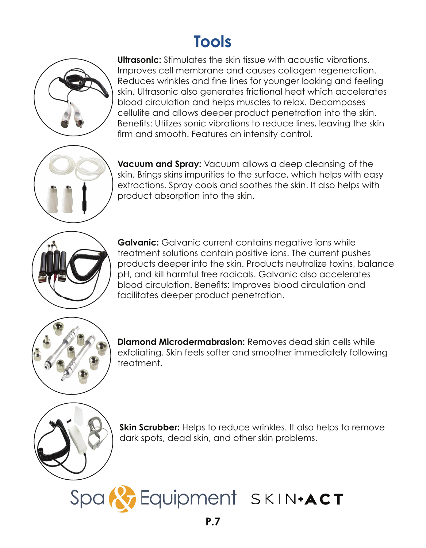## **Tools**



**Ultrasonic:** Stimulates the skin tissue with acoustic vibrations. Improves cell membrane and causes collagen regeneration. Reduces wrinkles and fine lines for younger looking and feeling skin. Ultrasonic also generates frictional heat which accelerates blood circulation and helps muscles to relax. Decomposes cellulite and allows deeper product penetration into the skin. Benefits: Utilizes sonic vibrations to reduce lines, leaving the skin firm and smooth. Features an intensity control.



**Vacuum and Spray:** Vacuum allows a deep cleansing of the skin. Brings skins impurities to the surface, which helps with easy extractions. Spray cools and soothes the skin. It also helps with product absorption into the skin.



**Galvanic:** Galvanic current contains negative ions while treatment solutions contain positive ions. The current pushes products deeper into the skin. Products neutralize toxins, balance pH, and kill harmful free radicals. Galvanic also accelerates blood circulation. Benefits: Improves blood circulation and facilitates deeper product penetration.



**Diamond Microdermabrasion:** Removes dead skin cells while exfoliating. Skin feels softer and smoother immediately following treatment.



**Skin Scrubber:** Helps to reduce wrinkles. It also helps to remove dark spots, dead skin, and other skin problems.